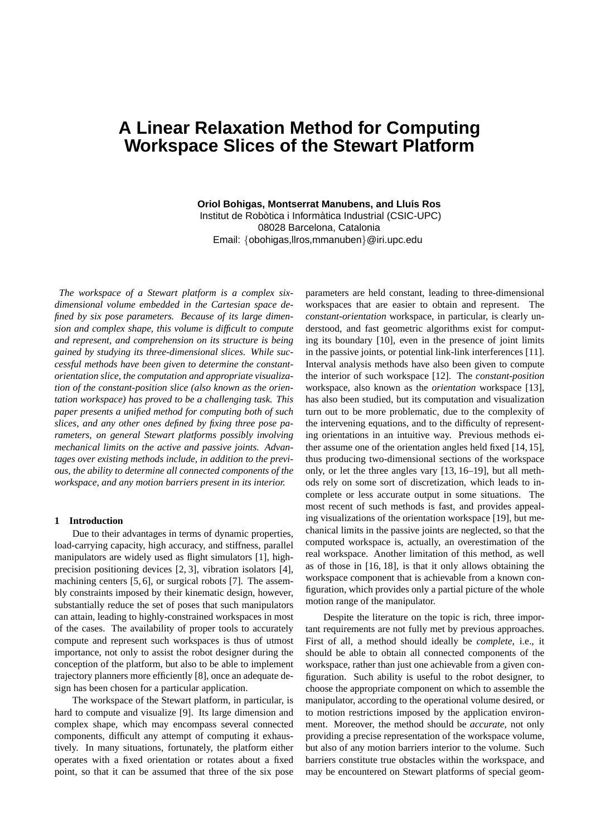# **A Linear Relaxation Method for Computing Workspace Slices of the Stewart Platform**

**Oriol Bohigas, Montserrat Manubens, and Lluís Ros** Institut de Robòtica i Informàtica Industrial (CSIC-UPC) 08028 Barcelona, Catalonia Email: {obohigas,llros,mmanuben}@iri.upc.edu

*The workspace of a Stewart platform is a complex sixdimensional volume embedded in the Cartesian space defined by six pose parameters. Because of its large dimension and complex shape, this volume is difficult to compute and represent, and comprehension on its structure is being gained by studying its three-dimensional slices. While successful methods have been given to determine the constantorientation slice, the computation and appropriate visualization of the constant-position slice (also known as the orientation workspace) has proved to be a challenging task. This paper presents a unified method for computing both of such slices, and any other ones defined by fixing three pose parameters, on general Stewart platforms possibly involving mechanical limits on the active and passive joints. Advantages over existing methods include, in addition to the previous, the ability to determine all connected components of the workspace, and any motion barriers present in its interior.*

## **1 Introduction**

Due to their advantages in terms of dynamic properties, load-carrying capacity, high accuracy, and stiffness, parallel manipulators are widely used as flight simulators [1], highprecision positioning devices [2, 3], vibration isolators [4], machining centers [5, 6], or surgical robots [7]. The assembly constraints imposed by their kinematic design, however, substantially reduce the set of poses that such manipulators can attain, leading to highly-constrained workspaces in most of the cases. The availability of proper tools to accurately compute and represent such workspaces is thus of utmost importance, not only to assist the robot designer during the conception of the platform, but also to be able to implement trajectory planners more efficiently [8], once an adequate design has been chosen for a particular application.

The workspace of the Stewart platform, in particular, is hard to compute and visualize [9]. Its large dimension and complex shape, which may encompass several connected components, difficult any attempt of computing it exhaustively. In many situations, fortunately, the platform either operates with a fixed orientation or rotates about a fixed point, so that it can be assumed that three of the six pose parameters are held constant, leading to three-dimensional workspaces that are easier to obtain and represent. The *constant-orientation* workspace, in particular, is clearly understood, and fast geometric algorithms exist for computing its boundary [10], even in the presence of joint limits in the passive joints, or potential link-link interferences [11]. Interval analysis methods have also been given to compute the interior of such workspace [12]. The *constant-position* workspace, also known as the *orientation* workspace [13], has also been studied, but its computation and visualization turn out to be more problematic, due to the complexity of the intervening equations, and to the difficulty of representing orientations in an intuitive way. Previous methods either assume one of the orientation angles held fixed [14, 15], thus producing two-dimensional sections of the workspace only, or let the three angles vary [13, 16–19], but all methods rely on some sort of discretization, which leads to incomplete or less accurate output in some situations. The most recent of such methods is fast, and provides appealing visualizations of the orientation workspace [19], but mechanical limits in the passive joints are neglected, so that the computed workspace is, actually, an overestimation of the real workspace. Another limitation of this method, as well as of those in [16, 18], is that it only allows obtaining the workspace component that is achievable from a known configuration, which provides only a partial picture of the whole motion range of the manipulator.

Despite the literature on the topic is rich, three important requirements are not fully met by previous approaches. First of all, a method should ideally be *complete*, i.e., it should be able to obtain all connected components of the workspace, rather than just one achievable from a given configuration. Such ability is useful to the robot designer, to choose the appropriate component on which to assemble the manipulator, according to the operational volume desired, or to motion restrictions imposed by the application environment. Moreover, the method should be *accurate*, not only providing a precise representation of the workspace volume, but also of any motion barriers interior to the volume. Such barriers constitute true obstacles within the workspace, and may be encountered on Stewart platforms of special geom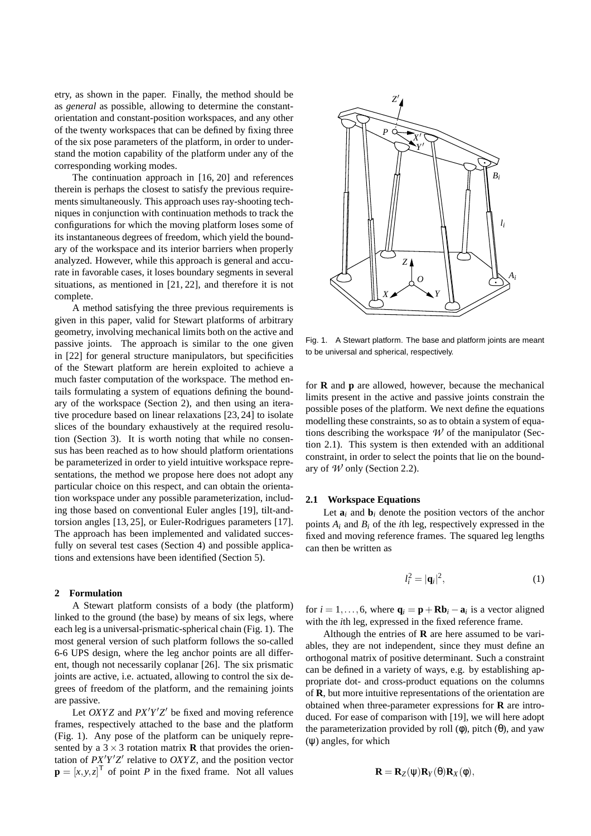etry, as shown in the paper. Finally, the method should be as *general* as possible, allowing to determine the constantorientation and constant-position workspaces, and any other of the twenty workspaces that can be defined by fixing three of the six pose parameters of the platform, in order to understand the motion capability of the platform under any of the corresponding working modes.

The continuation approach in [16, 20] and references therein is perhaps the closest to satisfy the previous requirements simultaneously. This approach uses ray-shooting techniques in conjunction with continuation methods to track the configurations for which the moving platform loses some of its instantaneous degrees of freedom, which yield the boundary of the workspace and its interior barriers when properly analyzed. However, while this approach is general and accurate in favorable cases, it loses boundary segments in several situations, as mentioned in [21, 22], and therefore it is not complete.

A method satisfying the three previous requirements is given in this paper, valid for Stewart platforms of arbitrary geometry, involving mechanical limits both on the active and passive joints. The approach is similar to the one given in [22] for general structure manipulators, but specificities of the Stewart platform are herein exploited to achieve a much faster computation of the workspace. The method entails formulating a system of equations defining the boundary of the workspace (Section 2), and then using an iterative procedure based on linear relaxations [23, 24] to isolate slices of the boundary exhaustively at the required resolution (Section 3). It is worth noting that while no consensus has been reached as to how should platform orientations be parameterized in order to yield intuitive workspace representations, the method we propose here does not adopt any particular choice on this respect, and can obtain the orientation workspace under any possible parameterization, including those based on conventional Euler angles [19], tilt-andtorsion angles [13, 25], or Euler-Rodrigues parameters [17]. The approach has been implemented and validated succesfully on several test cases (Section 4) and possible applications and extensions have been identified (Section 5).

# **2 Formulation**

A Stewart platform consists of a body (the platform) linked to the ground (the base) by means of six legs, where each leg is a universal-prismatic-spherical chain (Fig. 1). The most general version of such platform follows the so-called 6-6 UPS design, where the leg anchor points are all different, though not necessarily coplanar [26]. The six prismatic joints are active, i.e. actuated, allowing to control the six degrees of freedom of the platform, and the remaining joints are passive.

Let *OXYZ* and *PX<sup>'</sup>Y'Z*<sup>'</sup> be fixed and moving reference frames, respectively attached to the base and the platform (Fig. 1). Any pose of the platform can be uniquely represented by a  $3 \times 3$  rotation matrix **R** that provides the orientation of *PX*′*Y* ′*Z* ′ relative to *OXY Z*, and the position vector  $\mathbf{p} = [x, y, z]^\mathsf{T}$  of point *P* in the fixed frame. Not all values



Fig. 1. A Stewart platform. The base and platform joints are meant to be universal and spherical, respectively.

for **R** and **p** are allowed, however, because the mechanical limits present in the active and passive joints constrain the possible poses of the platform. We next define the equations modelling these constraints, so as to obtain a system of equations describing the workspace  $W$  of the manipulator (Section 2.1). This system is then extended with an additional constraint, in order to select the points that lie on the boundary of *W* only (Section 2.2).

#### **2.1 Workspace Equations**

Let  $\mathbf{a}_i$  and  $\mathbf{b}_i$  denote the position vectors of the anchor points  $A_i$  and  $B_i$  of the *i*th leg, respectively expressed in the fixed and moving reference frames. The squared leg lengths can then be written as

$$
l_i^2 = |\mathbf{q}_i|^2,\tag{1}
$$

for  $i = 1, ..., 6$ , where  $\mathbf{q}_i = \mathbf{p} + \mathbf{R}\mathbf{b}_i - \mathbf{a}_i$  is a vector aligned with the *i*th leg, expressed in the fixed reference frame.

Although the entries of **R** are here assumed to be variables, they are not independent, since they must define an orthogonal matrix of positive determinant. Such a constraint can be defined in a variety of ways, e.g. by establishing appropriate dot- and cross-product equations on the columns of **R**, but more intuitive representations of the orientation are obtained when three-parameter expressions for **R** are introduced. For ease of comparison with [19], we will here adopt the parameterization provided by roll  $(φ)$ , pitch  $(θ)$ , and yaw (ψ) angles, for which

$$
\mathbf{R} = \mathbf{R}_Z(\psi) \mathbf{R}_Y(\theta) \mathbf{R}_X(\phi),
$$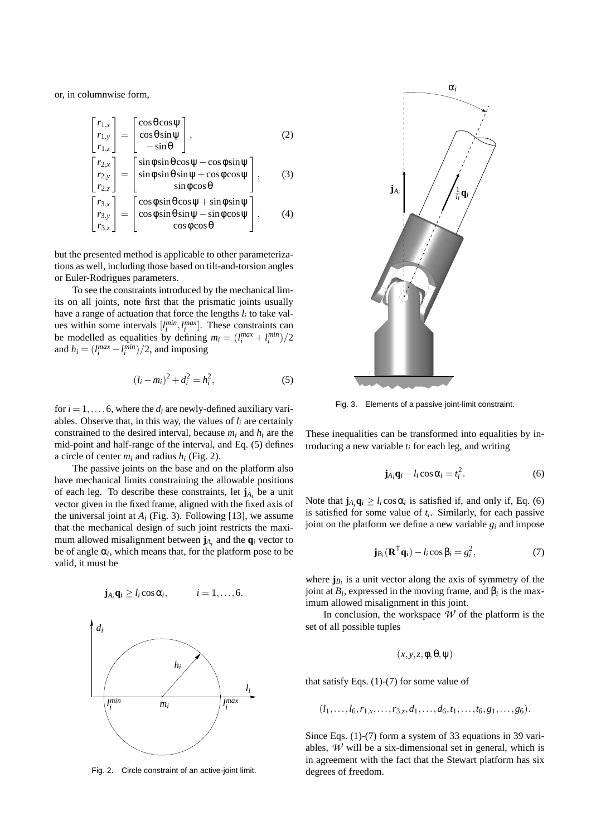or, in columnwise form,

$$
\begin{bmatrix} r_{1,x} \\ r_{1,y} \\ r_{1,z} \end{bmatrix} = \begin{bmatrix} \cos\theta\cos\psi \\ \cos\theta\sin\psi \\ -\sin\theta \end{bmatrix},
$$
(2)  

$$
\begin{bmatrix} r_{2,x} \\ r_{2,y} \\ r_{2,z} \end{bmatrix} = \begin{bmatrix} \sin\phi\sin\theta\cos\psi - \cos\phi\sin\psi \\ \sin\phi\sin\theta\sin\psi + \cos\phi\cos\psi \\ \sin\phi\cos\theta \end{bmatrix},
$$
(3)  

$$
\begin{bmatrix} r_{3,x} \\ r_{3,y} \\ r_{3,z} \end{bmatrix} = \begin{bmatrix} \cos\phi\sin\theta\cos\psi + \sin\phi\sin\psi \\ \cos\phi\sin\theta\sin\psi - \sin\phi\cos\psi \\ \cos\phi\cos\theta \end{bmatrix},
$$
(4)

but the presented method is applicable to other parameterizations as well, including those based on tilt-and-torsion angles or Euler-Rodrigues parameters.

To see the constraints introduced by the mechanical limits on all joints, note first that the prismatic joints usually have a range of actuation that force the lengths  $l_i$  to take values within some intervals  $[l_i^{min}, l_i^{max}]$ . These constraints can be modelled as equalities by defining  $m_i = (l_i^{max} + l_i^{min})/2$ and  $h_i = (l_i^{max} - l_i^{min})/2$ , and imposing

$$
(l_i - m_i)^2 + d_i^2 = h_i^2,
$$
 (5)

for  $i = 1, \ldots, 6$ , where the  $d_i$  are newly-defined auxiliary variables. Observe that, in this way, the values of  $l_i$  are certainly constrained to the desired interval, because  $m_i$  and  $h_i$  are the mid-point and half-range of the interval, and Eq. (5) defines a circle of center  $m_i$  and radius  $h_i$  (Fig. 2).

The passive joints on the base and on the platform also have mechanical limits constraining the allowable positions of each leg. To describe these constraints, let  $\mathbf{j}_{A_i}$  be a unit vector given in the fixed frame, aligned with the fixed axis of the universal joint at  $A_i$  (Fig. 3). Following [13], we assume that the mechanical design of such joint restricts the maximum allowed misalignment between  $\mathbf{j}_{A_i}$  and the  $\mathbf{q}_i$  vector to be of angle  $\alpha_i$ , which means that, for the platform pose to be valid, it must be



Fig. 2. Circle constraint of an active-joint limit.



Fig. 3. Elements of a passive joint-limit constraint.

These inequalities can be transformed into equalities by introducing a new variable  $t_i$  for each leg, and writing

$$
\mathbf{j}_{A_i}\mathbf{q}_i - l_i\cos\alpha_i = t_i^2. \tag{6}
$$

Note that  $\mathbf{j}_{A_i} \mathbf{q}_i \ge l_i \cos \alpha_i$  is satisfied if, and only if, Eq. (6) is satisfied for some value of *t<sup>i</sup>* . Similarly, for each passive joint on the platform we define a new variable  $g_i$  and impose

$$
\mathbf{j}_{B_i}(\mathbf{R}^\mathsf{T}\mathbf{q}_i) - l_i \cos \beta_i = g_i^2, \tag{7}
$$

where  $\mathbf{j}_{B_i}$  is a unit vector along the axis of symmetry of the  $joint$  at *B<sub>i</sub>*, expressed in the moving frame, and  $β<sub>i</sub>$  is the maximum allowed misalignment in this joint.

In conclusion, the workspace  $W$  of the platform is the set of all possible tuples

$$
(x, y, z, \phi, \theta, \psi)
$$

that satisfy Eqs.  $(1)-(7)$  for some value of

$$
(l_1,\ldots,l_6,r_{1,x},\ldots,r_{3,z},d_1,\ldots,d_6,t_1,\ldots,t_6,g_1,\ldots,g_6).
$$

Since Eqs. (1)-(7) form a system of 33 equations in 39 variables,  $W$  will be a six-dimensional set in general, which is in agreement with the fact that the Stewart platform has six degrees of freedom.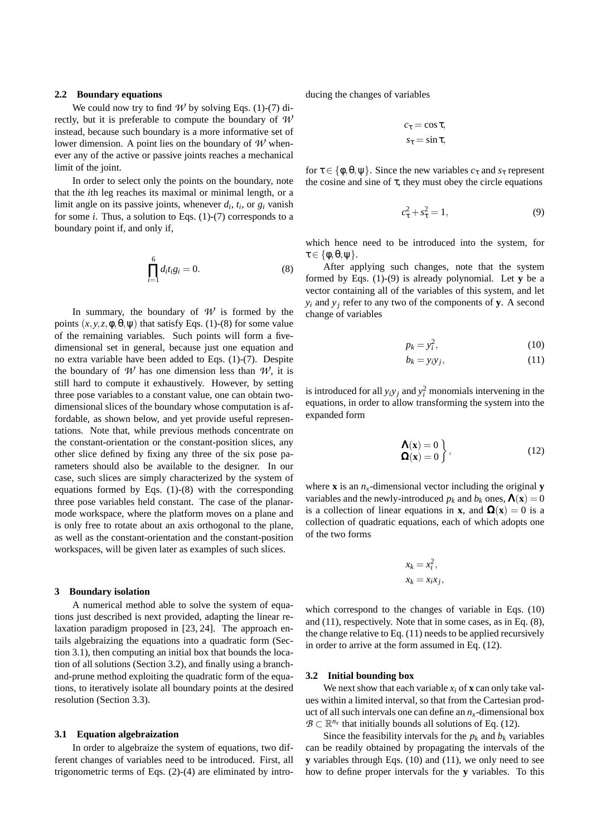# **2.2 Boundary equations**

We could now try to find  $W$  by solving Eqs. (1)-(7) directly, but it is preferable to compute the boundary of *W* instead, because such boundary is a more informative set of lower dimension. A point lies on the boundary of *W* whenever any of the active or passive joints reaches a mechanical limit of the joint.

In order to select only the points on the boundary, note that the *i*th leg reaches its maximal or minimal length, or a limit angle on its passive joints, whenever  $d_i$ ,  $t_i$ , or  $g_i$  vanish for some *i*. Thus, a solution to Eqs. (1)-(7) corresponds to a boundary point if, and only if,

$$
\prod_{i=1}^{6} d_i t_i g_i = 0.
$$
 (8)

In summary, the boundary of  $W$  is formed by the points  $(x, y, z, \phi, \theta, \psi)$  that satisfy Eqs. (1)-(8) for some value of the remaining variables. Such points will form a fivedimensional set in general, because just one equation and no extra variable have been added to Eqs. (1)-(7). Despite the boundary of  $W$  has one dimension less than  $W$ , it is still hard to compute it exhaustively. However, by setting three pose variables to a constant value, one can obtain twodimensional slices of the boundary whose computation is affordable, as shown below, and yet provide useful representations. Note that, while previous methods concentrate on the constant-orientation or the constant-position slices, any other slice defined by fixing any three of the six pose parameters should also be available to the designer. In our case, such slices are simply characterized by the system of equations formed by Eqs. (1)-(8) with the corresponding three pose variables held constant. The case of the planarmode workspace, where the platform moves on a plane and is only free to rotate about an axis orthogonal to the plane, as well as the constant-orientation and the constant-position workspaces, will be given later as examples of such slices.

## **3 Boundary isolation**

A numerical method able to solve the system of equations just described is next provided, adapting the linear relaxation paradigm proposed in [23, 24]. The approach entails algebraizing the equations into a quadratic form (Section 3.1), then computing an initial box that bounds the location of all solutions (Section 3.2), and finally using a branchand-prune method exploiting the quadratic form of the equations, to iteratively isolate all boundary points at the desired resolution (Section 3.3).

#### **3.1 Equation algebraization**

In order to algebraize the system of equations, two different changes of variables need to be introduced. First, all trigonometric terms of Eqs. (2)-(4) are eliminated by introducing the changes of variables

$$
c_{\tau} = \cos \tau,
$$
  

$$
s_{\tau} = \sin \tau,
$$

for  $\tau \in \{\phi, \theta, \psi\}$ . Since the new variables  $c_{\tau}$  and  $s_{\tau}$  represent the cosine and sine of  $\tau$ , they must obey the circle equations

$$
c_{\tau}^2 + s_{\tau}^2 = 1,\t\t(9)
$$

which hence need to be introduced into the system, for  $\tau \in {\phi, \theta, \psi}.$ 

After applying such changes, note that the system formed by Eqs. (1)-(9) is already polynomial. Let **y** be a vector containing all of the variables of this system, and let  $y_i$  and  $y_j$  refer to any two of the components of **y**. A second change of variables

$$
p_k = y_i^2,\tag{10}
$$

$$
b_k = y_i y_j,\tag{11}
$$

is introduced for all  $y_i y_j$  and  $y_i^2$  monomials intervening in the equations, in order to allow transforming the system into the expanded form

$$
\begin{aligned}\n\mathbf{\Lambda}(\mathbf{x}) &= 0 \\
\mathbf{\Omega}(\mathbf{x}) &= 0\n\end{aligned}\n\bigg\},\n\tag{12}
$$

where **x** is an  $n_x$ -dimensional vector including the original **y** variables and the newly-introduced  $p_k$  and  $b_k$  ones,  $\mathbf{\Lambda}(\mathbf{x}) = 0$ is a collection of linear equations in **x**, and  $\Omega(x) = 0$  is a collection of quadratic equations, each of which adopts one of the two forms

$$
x_k = x_i^2,
$$
  

$$
x_k = x_i x_j,
$$

which correspond to the changes of variable in Eqs. (10) and (11), respectively. Note that in some cases, as in Eq. (8), the change relative to Eq. (11) needs to be applied recursively in order to arrive at the form assumed in Eq. (12).

#### **3.2 Initial bounding box**

We next show that each variable  $x_i$  of **x** can only take values within a limited interval, so that from the Cartesian product of all such intervals one can define an  $n<sub>x</sub>$ -dimensional box  $\mathcal{B} \subset \mathbb{R}^{n_x}$  that initially bounds all solutions of Eq. (12).

Since the feasibility intervals for the  $p_k$  and  $b_k$  variables can be readily obtained by propagating the intervals of the **y** variables through Eqs. (10) and (11), we only need to see how to define proper intervals for the **y** variables. To this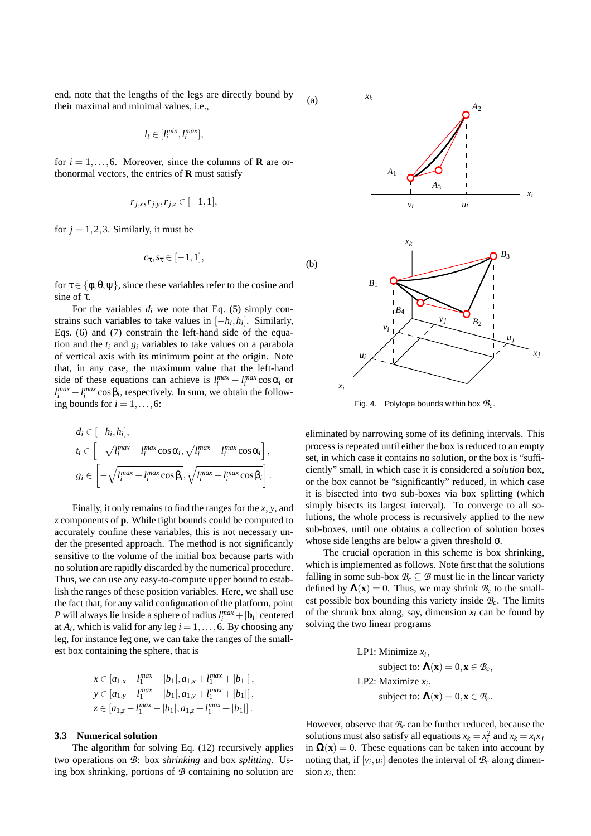end, note that the lengths of the legs are directly bound by their maximal and minimal values, i.e., (a)

$$
l_i \in [l_i^{min}, l_i^{max}],
$$

for  $i = 1, \ldots, 6$ . Moreover, since the columns of **R** are orthonormal vectors, the entries of **R** must satisfy

$$
r_{j,x}, r_{j,y}, r_{j,z} \in [-1,1],
$$

for  $j = 1, 2, 3$ . Similarly, it must be

$$
c_{\tau}, s_{\tau} \in [-1,1],
$$

(b)

for  $\tau \in {\phi, \theta, \psi}$ , since these variables refer to the cosine and sine of τ.

For the variables  $d_i$  we note that Eq. (5) simply constrains such variables to take values in  $[-h_i, h_i]$ . Similarly, Eqs. (6) and (7) constrain the left-hand side of the equation and the  $t_i$  and  $g_i$  variables to take values on a parabola of vertical axis with its minimum point at the origin. Note that, in any case, the maximum value that the left-hand side of these equations can achieve is  $l_i^{max} - l_i^{max} \cos \alpha_i$  or  $l_i^{max} - l_i^{max} \cos \beta_i$ , respectively. In sum, we obtain the following bounds for  $i = 1, \ldots, 6$ :

$$
d_i \in [-h_i, h_i],
$$
  
\n
$$
t_i \in \left[ -\sqrt{l_i^{max} - l_i^{max} \cos \alpha_i}, \sqrt{l_i^{max} - l_i^{max} \cos \alpha_i} \right],
$$
  
\n
$$
g_i \in \left[ -\sqrt{l_i^{max} - l_i^{max} \cos \beta_i}, \sqrt{l_i^{max} - l_i^{max} \cos \beta_i} \right].
$$

Finally, it only remains to find the ranges for the *x*, *y*, and *z* components of **p**. While tight bounds could be computed to accurately confine these variables, this is not necessary under the presented approach. The method is not significantly sensitive to the volume of the initial box because parts with no solution are rapidly discarded by the numerical procedure. Thus, we can use any easy-to-compute upper bound to establish the ranges of these position variables. Here, we shall use the fact that, for any valid configuration of the platform, point *P* will always lie inside a sphere of radius  $l_i^{max} + |\mathbf{b}_i|$  centered at  $A_i$ , which is valid for any leg  $i = 1, \ldots, 6$ . By choosing any leg, for instance leg one, we can take the ranges of the smallest box containing the sphere, that is

$$
x \in [a_{1,x} - l_1^{max} - |b_1|, a_{1,x} + l_1^{max} + |b_1|],
$$
  
\n
$$
y \in [a_{1,y} - l_1^{max} - |b_1|, a_{1,y} + l_1^{max} + |b_1|],
$$
  
\n
$$
z \in [a_{1,z} - l_1^{max} - |b_1|, a_{1,z} + l_1^{max} + |b_1|].
$$

## **3.3 Numerical solution**

The algorithm for solving Eq. (12) recursively applies two operations on *B*: box *shrinking* and box *splitting*. Using box shrinking, portions of *B* containing no solution are



Fig. 4. Polytope bounds within box *Bc*.

eliminated by narrowing some of its defining intervals. This process is repeated until either the box is reduced to an empty set, in which case it contains no solution, or the box is "sufficiently" small, in which case it is considered a *solution* box, or the box cannot be "significantly" reduced, in which case it is bisected into two sub-boxes via box splitting (which simply bisects its largest interval). To converge to all solutions, the whole process is recursively applied to the new sub-boxes, until one obtains a collection of solution boxes whose side lengths are below a given threshold  $\sigma$ .

The crucial operation in this scheme is box shrinking, which is implemented as follows. Note first that the solutions falling in some sub-box  $\mathcal{B}_c \subseteq \mathcal{B}$  must lie in the linear variety defined by  $\mathbf{\Lambda}(\mathbf{x}) = 0$ . Thus, we may shrink  $\mathcal{B}_c$  to the smallest possible box bounding this variety inside *Bc*. The limits of the shrunk box along, say, dimension  $x_i$  can be found by solving the two linear programs

LPI: Minimize 
$$
x_i
$$
,  
subject to:  $\mathbf{\Lambda}(\mathbf{x}) = 0, \mathbf{x} \in \mathcal{B}_c$ ,  
LP2: Maximize  $x_i$ ,  
subject to:  $\mathbf{\Lambda}(\mathbf{x}) = 0, \mathbf{x} \in \mathcal{B}_c$ .

However, observe that  $B_c$  can be further reduced, because the solutions must also satisfy all equations  $x_k = x_i^2$  and  $x_k = x_i x_j$ in  $\mathbf{\Omega}(\mathbf{x}) = 0$ . These equations can be taken into account by noting that, if  $[v_i, u_i]$  denotes the interval of  $B_c$  along dimension  $x_i$ , then: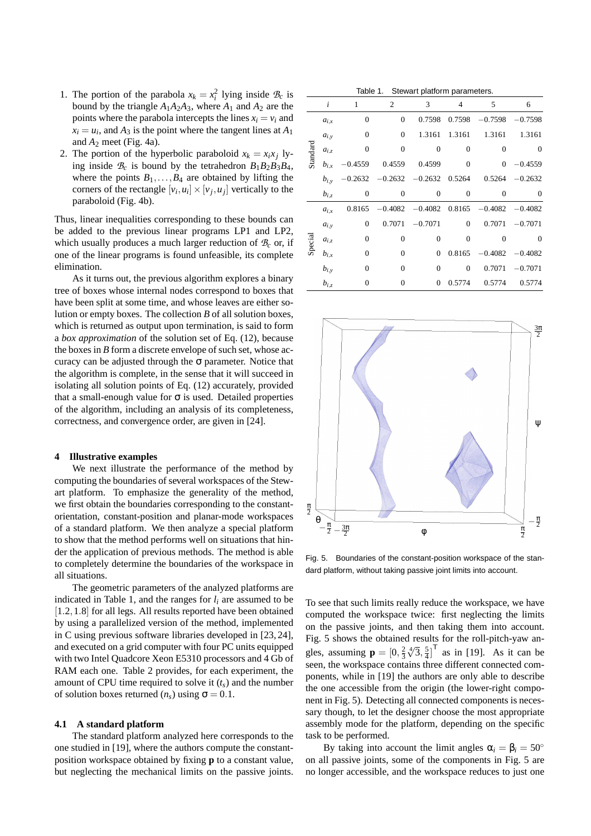- 1. The portion of the parabola  $x_k = x_i^2$  lying inside  $B_c$  is bound by the triangle  $A_1A_2A_3$ , where  $A_1$  and  $A_2$  are the points where the parabola intercepts the lines  $x_i = v_i$  and  $x_i = u_i$ , and  $A_3$  is the point where the tangent lines at  $A_1$ and  $A_2$  meet (Fig. 4a).
- 2. The portion of the hyperbolic paraboloid  $x_k = x_i x_j$  lying inside  $\mathcal{B}_c$  is bound by the tetrahedron  $B_1B_2B_3B_4$ , where the points  $B_1, \ldots, B_4$  are obtained by lifting the corners of the rectangle  $[v_i, u_i] \times [v_j, u_j]$  vertically to the paraboloid (Fig. 4b).

Thus, linear inequalities corresponding to these bounds can be added to the previous linear programs LP1 and LP2, which usually produces a much larger reduction of  $B_c$  or, if one of the linear programs is found unfeasible, its complete elimination.

As it turns out, the previous algorithm explores a binary tree of boxes whose internal nodes correspond to boxes that have been split at some time, and whose leaves are either solution or empty boxes. The collection *B* of all solution boxes, which is returned as output upon termination, is said to form a *box approximation* of the solution set of Eq. (12), because the boxes in *B* form a discrete envelope of such set, whose accuracy can be adjusted through the  $\sigma$  parameter. Notice that the algorithm is complete, in the sense that it will succeed in isolating all solution points of Eq. (12) accurately, provided that a small-enough value for  $\sigma$  is used. Detailed properties of the algorithm, including an analysis of its completeness, correctness, and convergence order, are given in [24].

## **4 Illustrative examples**

We next illustrate the performance of the method by computing the boundaries of several workspaces of the Stewart platform. To emphasize the generality of the method, we first obtain the boundaries corresponding to the constantorientation, constant-position and planar-mode workspaces of a standard platform. We then analyze a special platform to show that the method performs well on situations that hinder the application of previous methods. The method is able to completely determine the boundaries of the workspace in all situations.

The geometric parameters of the analyzed platforms are indicated in Table 1, and the ranges for  $l_i$  are assumed to be [1.2, 1.8] for all legs. All results reported have been obtained by using a parallelized version of the method, implemented in C using previous software libraries developed in [23, 24], and executed on a grid computer with four PC units equipped with two Intel Quadcore Xeon E5310 processors and 4 Gb of RAM each one. Table 2 provides, for each experiment, the amount of CPU time required to solve it  $(t<sub>s</sub>)$  and the number of solution boxes returned  $(n_s)$  using  $\sigma = 0.1$ .

## **4.1 A standard platform**

The standard platform analyzed here corresponds to the one studied in [19], where the authors compute the constantposition workspace obtained by fixing **p** to a constant value, but neglecting the mechanical limits on the passive joints.

Table 1. Stewart platform parameters.

|          | i         | 1              | 2              | 3                          | 4              | 5                                                | 6              |
|----------|-----------|----------------|----------------|----------------------------|----------------|--------------------------------------------------|----------------|
| Standard | $a_{i,x}$ | $\overline{0}$ | $\overline{0}$ | 0.7598                     | 0.7598         | $-0.7598$                                        | $-0.7598$      |
|          | $a_{i,y}$ | $\Omega$       | $\overline{0}$ | 1.3161                     | 1.3161         | 1.3161                                           | 1.3161         |
|          | $a_{i,z}$ | $\Omega$       | $\theta$       | 0                          | $\theta$       | $\theta$                                         | 0              |
|          | $b_{i,x}$ | $-0.4559$      | 0.4559         | 0.4599                     | $\mathbf{0}$   | $\Omega$                                         | $-0.4559$      |
|          | $b_{i,y}$ | $-0.2632$      |                | $-0.2632$ $-0.2632$ 0.5264 |                | 0.5264                                           | $-0.2632$      |
|          | $b_{i,z}$ | 0              | $\mathbf{0}$   | 0                          | $\mathbf{0}$   | $\mathbf{0}$                                     | $\overline{0}$ |
| Special  | $a_{i,x}$ | 0.8165         |                |                            |                | $-0.4082$ $-0.4082$ $0.8165$ $-0.4082$ $-0.4082$ |                |
|          | $a_{i,y}$ | $\overline{0}$ | 0.7071         | $-0.7071$                  | $\mathbf{0}$   | 0.7071                                           | $-0.7071$      |
|          | $a_{i,z}$ | 0              | $\mathbf{0}$   | $\mathbf{0}$               | $\mathbf{0}$   | $\theta$                                         | $\theta$       |
|          | $b_{i,x}$ | $\theta$       | $\mathbf{0}$   | $\mathbf{0}$               | 0.8165         | $-0.4082$                                        | $-0.4082$      |
|          | $b_{i,y}$ | $\Omega$       | $\Omega$       | $\overline{0}$             | $\overline{0}$ | 0.7071                                           | $-0.7071$      |
|          | $b_{i,z}$ |                | 0              | $\Omega$                   | 0.5774         | 0.5774                                           | 0.5774         |



Fig. 5. Boundaries of the constant-position workspace of the standard platform, without taking passive joint limits into account.

To see that such limits really reduce the workspace, we have computed the workspace twice: first neglecting the limits on the passive joints, and then taking them into account. Fig. 5 shows the obtained results for the roll-pitch-yaw angles, assuming  $\mathbf{p} = [0, \frac{2}{3} \sqrt[4]{3}, \frac{5}{4}]^T$  as in [19]. As it can be seen, the workspace contains three different connected components, while in [19] the authors are only able to describe the one accessible from the origin (the lower-right component in Fig. 5). Detecting all connected components is necessary though, to let the designer choose the most appropriate assembly mode for the platform, depending on the specific task to be performed.

By taking into account the limit angles  $\alpha_i = \beta_i = 50^\circ$ on all passive joints, some of the components in Fig. 5 are no longer accessible, and the workspace reduces to just one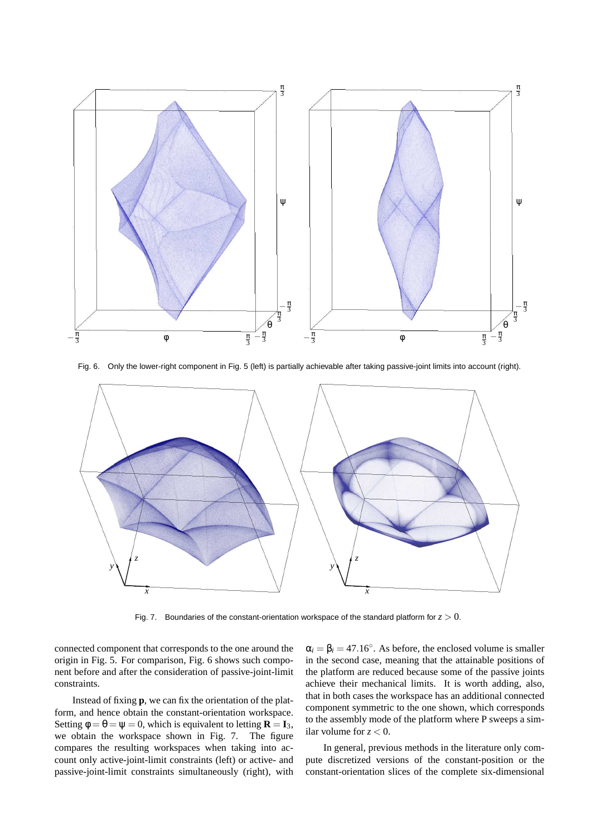

Fig. 6. Only the lower-right component in Fig. 5 (left) is partially achievable after taking passive-joint limits into account (right).



Fig. 7. Boundaries of the constant-orientation workspace of the standard platform for  $z > 0$ .

connected component that corresponds to the one around the origin in Fig. 5. For comparison, Fig. 6 shows such component before and after the consideration of passive-joint-limit constraints.

Instead of fixing **p**, we can fix the orientation of the platform, and hence obtain the constant-orientation workspace. Setting  $\phi = \theta = \psi = 0$ , which is equivalent to letting  $\mathbf{R} = \mathbf{I}_3$ , we obtain the workspace shown in Fig. 7. The figure compares the resulting workspaces when taking into account only active-joint-limit constraints (left) or active- and passive-joint-limit constraints simultaneously (right), with

 $\alpha_i = \beta_i = 47.16^\circ$ . As before, the enclosed volume is smaller in the second case, meaning that the attainable positions of the platform are reduced because some of the passive joints achieve their mechanical limits. It is worth adding, also, that in both cases the workspace has an additional connected component symmetric to the one shown, which corresponds to the assembly mode of the platform where P sweeps a similar volume for  $z < 0$ .

In general, previous methods in the literature only compute discretized versions of the constant-position or the constant-orientation slices of the complete six-dimensional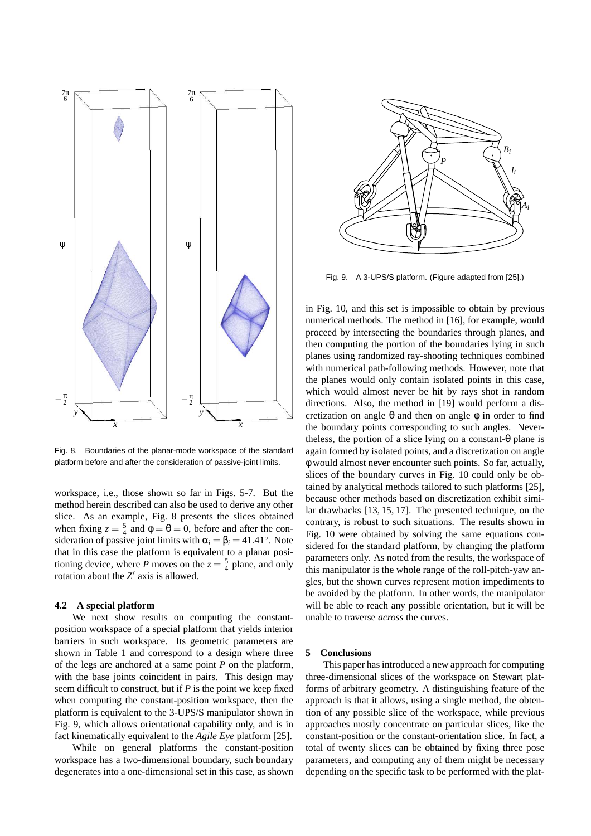

Fig. 8. Boundaries of the planar-mode workspace of the standard platform before and after the consideration of passive-joint limits.

workspace, i.e., those shown so far in Figs. 5-7. But the method herein described can also be used to derive any other slice. As an example, Fig. 8 presents the slices obtained when fixing  $z = \frac{5}{4}$  and  $\phi = \theta = 0$ , before and after the consideration of passive joint limits with  $\alpha_i = \beta_i = 41.41^\circ$ . Note that in this case the platform is equivalent to a planar positioning device, where *P* moves on the  $z = \frac{5}{4}$  plane, and only rotation about the *Z'* axis is allowed.

# **4.2 A special platform**

We next show results on computing the constantposition workspace of a special platform that yields interior barriers in such workspace. Its geometric parameters are shown in Table 1 and correspond to a design where three of the legs are anchored at a same point *P* on the platform, with the base joints coincident in pairs. This design may seem difficult to construct, but if *P* is the point we keep fixed when computing the constant-position workspace, then the platform is equivalent to the 3-UPS/S manipulator shown in Fig. 9, which allows orientational capability only, and is in fact kinematically equivalent to the *Agile Eye* platform [25].

While on general platforms the constant-position workspace has a two-dimensional boundary, such boundary degenerates into a one-dimensional set in this case, as shown



Fig. 9. A 3-UPS/S platform. (Figure adapted from [25].)

in Fig. 10, and this set is impossible to obtain by previous numerical methods. The method in [16], for example, would proceed by intersecting the boundaries through planes, and then computing the portion of the boundaries lying in such planes using randomized ray-shooting techniques combined with numerical path-following methods. However, note that the planes would only contain isolated points in this case, which would almost never be hit by rays shot in random directions. Also, the method in [19] would perform a discretization on angle  $\theta$  and then on angle  $\phi$  in order to find the boundary points corresponding to such angles. Nevertheless, the portion of a slice lying on a constant- $\theta$  plane is again formed by isolated points, and a discretization on angle φ would almost never encounter such points. So far, actually, slices of the boundary curves in Fig. 10 could only be obtained by analytical methods tailored to such platforms [25], because other methods based on discretization exhibit similar drawbacks [13, 15, 17]. The presented technique, on the contrary, is robust to such situations. The results shown in Fig. 10 were obtained by solving the same equations considered for the standard platform, by changing the platform parameters only. As noted from the results, the workspace of this manipulator is the whole range of the roll-pitch-yaw angles, but the shown curves represent motion impediments to be avoided by the platform. In other words, the manipulator will be able to reach any possible orientation, but it will be unable to traverse *across* the curves.

# **5 Conclusions**

This paper has introduced a new approach for computing three-dimensional slices of the workspace on Stewart platforms of arbitrary geometry. A distinguishing feature of the approach is that it allows, using a single method, the obtention of any possible slice of the workspace, while previous approaches mostly concentrate on particular slices, like the constant-position or the constant-orientation slice. In fact, a total of twenty slices can be obtained by fixing three pose parameters, and computing any of them might be necessary depending on the specific task to be performed with the plat-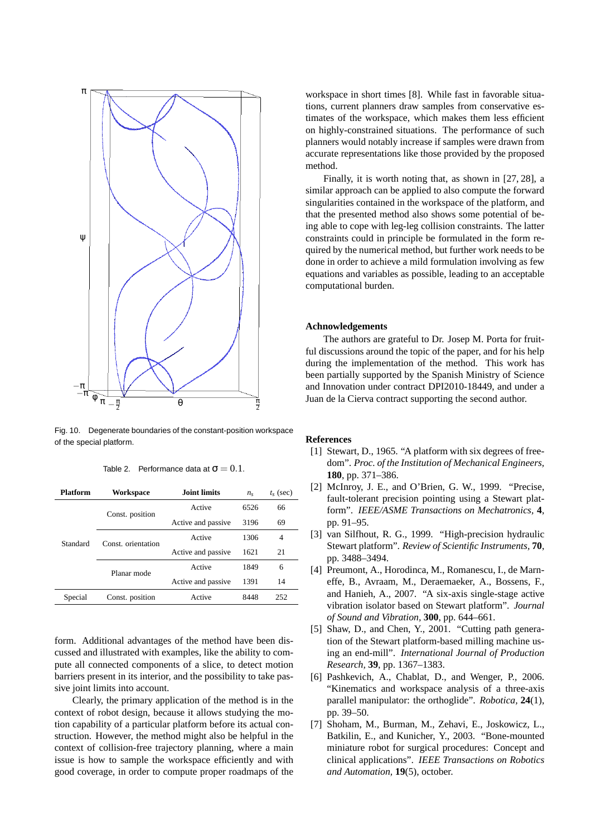

Fig. 10. Degenerate boundaries of the constant-position workspace of the special platform.

Table 2. Performance data at  $\sigma = 0.1$ .

| <b>Platform</b> | <b>Workspace</b>   | Joint limits       | $n_{\rm s}$ | $t_{s}$ (sec) |
|-----------------|--------------------|--------------------|-------------|---------------|
|                 | Const. position    | Active             | 6526        | 66            |
|                 |                    | Active and passive | 3196        | 69            |
| Standard        | Const. orientation | Active             | 1306        | 4             |
|                 |                    | Active and passive | 1621        | 21            |
|                 | Planar mode        | Active             | 1849        | 6             |
|                 |                    | Active and passive | 1391        | 14            |
| Special         | Const. position    | Active             | 8448        | 252           |

form. Additional advantages of the method have been discussed and illustrated with examples, like the ability to compute all connected components of a slice, to detect motion barriers present in its interior, and the possibility to take passive joint limits into account.

Clearly, the primary application of the method is in the context of robot design, because it allows studying the motion capability of a particular platform before its actual construction. However, the method might also be helpful in the context of collision-free trajectory planning, where a main issue is how to sample the workspace efficiently and with good coverage, in order to compute proper roadmaps of the workspace in short times [8]. While fast in favorable situations, current planners draw samples from conservative estimates of the workspace, which makes them less efficient on highly-constrained situations. The performance of such planners would notably increase if samples were drawn from accurate representations like those provided by the proposed method.

Finally, it is worth noting that, as shown in [27, 28], a similar approach can be applied to also compute the forward singularities contained in the workspace of the platform, and that the presented method also shows some potential of being able to cope with leg-leg collision constraints. The latter constraints could in principle be formulated in the form required by the numerical method, but further work needs to be done in order to achieve a mild formulation involving as few equations and variables as possible, leading to an acceptable computational burden.

## **Achnowledgements**

The authors are grateful to Dr. Josep M. Porta for fruitful discussions around the topic of the paper, and for his help during the implementation of the method. This work has been partially supported by the Spanish Ministry of Science and Innovation under contract DPI2010-18449, and under a Juan de la Cierva contract supporting the second author.

## **References**

- [1] Stewart, D., 1965. "A platform with six degrees of freedom". *Proc. of the Institution of Mechanical Engineers,* **180**, pp. 371–386.
- [2] McInroy, J. E., and O'Brien, G. W., 1999. "Precise, fault-tolerant precision pointing using a Stewart platform". *IEEE/ASME Transactions on Mechatronics,* **4**, pp. 91–95.
- [3] van Silfhout, R. G., 1999. "High-precision hydraulic Stewart platform". *Review of Scientific Instruments,* **70**, pp. 3488–3494.
- [4] Preumont, A., Horodinca, M., Romanescu, I., de Marneffe, B., Avraam, M., Deraemaeker, A., Bossens, F., and Hanieh, A., 2007. "A six-axis single-stage active vibration isolator based on Stewart platform". *Journal of Sound and Vibration,* **300**, pp. 644–661.
- [5] Shaw, D., and Chen, Y., 2001. "Cutting path generation of the Stewart platform-based milling machine using an end-mill". *International Journal of Production Research,* **39**, pp. 1367–1383.
- [6] Pashkevich, A., Chablat, D., and Wenger, P., 2006. "Kinematics and workspace analysis of a three-axis parallel manipulator: the orthoglide". *Robotica,* **24**(1), pp. 39–50.
- [7] Shoham, M., Burman, M., Zehavi, E., Joskowicz, L., Batkilin, E., and Kunicher, Y., 2003. "Bone-mounted miniature robot for surgical procedures: Concept and clinical applications". *IEEE Transactions on Robotics and Automation,* **19**(5), october.